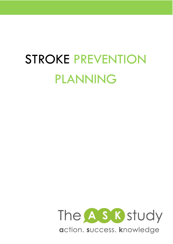# STROKE PREVENTION PLANNING

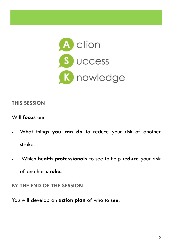

#### **THIS SESSION**

#### Will **focus** on:

- What things **you can do** to reduce your risk of another stroke.
- Which **health professionals** to see to help **reduce** your **risk**

of another **stroke.** 

**BY THE END OF THE SESSION**

You will develop an **action plan** of who to see.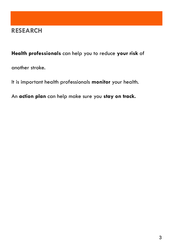#### **RESEARCH**

#### **Health professionals** can help you to reduce **your risk** of

another stroke.

It is important health professionals **monitor** your health.

An **action plan** can help make sure you **stay on track.**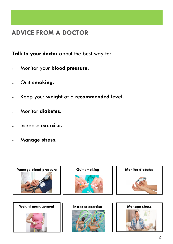## **ADVICE FROM A DOCTOR**

**Talk to your doctor** about the best way to:

- Monitor your **blood pressure.**
- Quit **smoking.**
- Keep your **weight** at a **recommended level.**
- Monitor **diabetes.**
- Increase **exercise.**
- Manage **stress.**

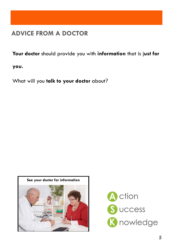## **ADVICE FROM A DOCTOR**

**Your doctor** should provide you with **information** that is j**ust for** 

**you.** 

What will you **talk to your doctor** about?



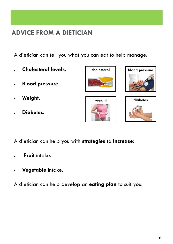## **ADVICE FROM A DIETICIAN**

A dietician can tell you what you can eat to help manage:

- **Cholesterol levels.**
- **Blood pressure.**
- **Weight.**
- **Diabetes.**



- A dietician can help you with **strategies** to **increase:**
- **Fruit** intake.
- **Vegetable** intake.

A dietician can help develop an **eating plan** to suit you.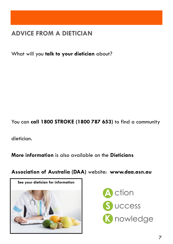## **ADVICE FROM A DIETICIAN**

What will you **talk to your dietician** about?

You can **call 1800 STROKE (1800 787 653)** to find a community

dietician.

**More information** is also available on the **Dieticians** 

**Association of Australia (DAA)** website: **www.daa.asn.au**



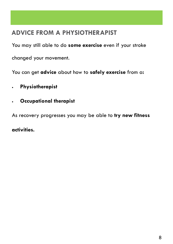## **ADVICE FROM A PHYSIOTHERAPIST**

You may still able to do **some exercise** even if your stroke

changed your movement.

You can get **advice** about how to **safely exercise** from a**:**

- **Physiotherapist**
- **Occupational therapist**

As recovery progresses you may be able to **try new fitness** 

**activities.**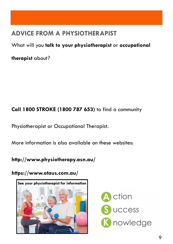## **ADVICE FROM A PHYSIOTHERAPIST**

What will you **talk to your physiotherapist** or **occupational** 

**therapist** about?

#### **Call 1800 STROKE (1800 787 653)** to find a community

Physiotherapist or Occupational Therapist.

More information is also available on these websites:

**http://www.physiotherapy.asn.au/**

**https://www.otaus.com.au/**



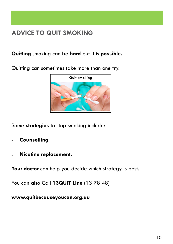## **ADVICE TO QUIT SMOKING**

#### **Quitting** smoking can be **hard** but it is **possible.**

Quitting can sometimes take more than one try.



Some **strategies** to stop smoking include:

- **Counselling.**
- **Nicotine replacement.**

Your doctor can help you decide which strategy is best.

You can also Call **13QUIT Line** (13 78 48)

**www.quitbecauseyoucan.org.au**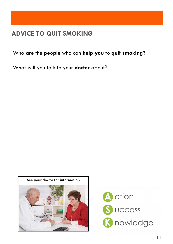#### **ADVICE TO QUIT SMOKING**

Who are the p**eople** who can **help you** to **quit smoking?**

What will you talk to your **doctor** about?